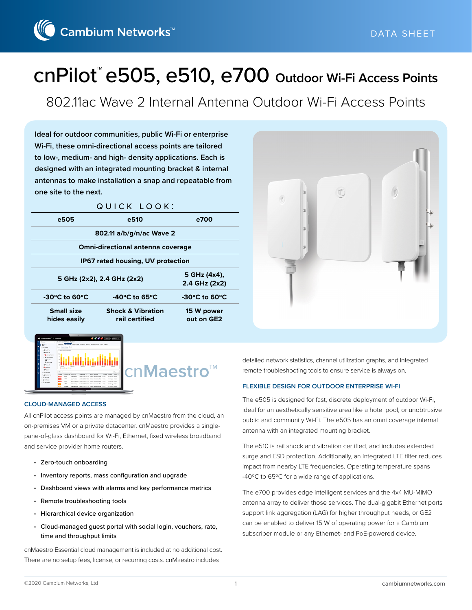Cambium Networks<sup>™</sup>

# cnPilot™ e505, e510, e700 **Outdoor Wi-Fi Access Points**

802.11ac Wave 2 Internal Antenna Outdoor Wi-Fi Access Points

**Ideal for outdoor communities, public Wi-Fi or enterprise Wi-Fi, these omni-directional access points are tailored to low-, medium- and high- density applications. Each is designed with an integrated mounting bracket & internal antennas to make installation a snap and repeatable from one site to the next.**

|                                                      | QUICK LOOK:                                    |                                    |
|------------------------------------------------------|------------------------------------------------|------------------------------------|
| e505                                                 | e510                                           | e700                               |
|                                                      | 802.11 a/b/g/n/ac Wave 2                       |                                    |
|                                                      | <b>Omni-directional antenna coverage</b>       |                                    |
|                                                      | IP67 rated housing, UV protection              |                                    |
|                                                      | 5 GHz (2x2), 2.4 GHz (2x2)                     | 5 GHz (4x4),<br>2.4 GHz (2x2)      |
| $-30^{\circ}$ C to 60 $^{\circ}$ C                   | -40 $^{\circ}$ C to 65 $^{\circ}$ C            | $-30^{\circ}$ C to 60 $^{\circ}$ C |
| <b>Small size</b><br>hides easily                    | <b>Shock &amp; Vibration</b><br>rail certified | 15 W power<br>out on GE2           |
| <b>O</b> Centibe Networks <sup>10</sup>   Officeding | S S S S (same ) Breaks                         |                                    |



cn**Maestro™**

#### **CLOUD-MANAGED ACCESS**

All cnPilot access points are managed by cnMaestro from the cloud, an on-premises VM or a private datacenter. cnMaestro provides a singlepane-of-glass dashboard for Wi-Fi, Ethernet, fixed wireless broadband and service provider home routers.

- Zero-touch onboarding
- Inventory reports, mass configuration and upgrade
- Dashboard views with alarms and key performance metrics
- Remote troubleshooting tools
- Hierarchical device organization
- Cloud-managed guest portal with social login, vouchers, rate, time and throughput limits

cnMaestro Essential cloud management is included at no additional cost. There are no setup fees, license, or recurring costs. cnMaestro includes

detailed network statistics, channel utilization graphs, and integrated remote troubleshooting tools to ensure service is always on.

#### **FLEXIBLE DESIGN FOR OUTDOOR ENTERPRISE WI-FI**

The e505 is designed for fast, discrete deployment of outdoor Wi-Fi, ideal for an aesthetically sensitive area like a hotel pool, or unobtrusive public and community Wi-Fi. The e505 has an omni coverage internal antenna with an integrated mounting bracket.

The e510 is rail shock and vibration certified, and includes extended surge and ESD protection. Additionally, an integrated LTE filter reduces impact from nearby LTE frequencies. Operating temperature spans -40ºC to 65ºC for a wide range of applications.

The e700 provides edge intelligent services and the 4x4 MU-MIMO antenna array to deliver those services. The dual-gigabit Ethernet ports support link aggregation (LAG) for higher throughput needs, or GE2 can be enabled to deliver 15 W of operating power for a Cambium subscriber module or any Ethernet- and PoE-powered device.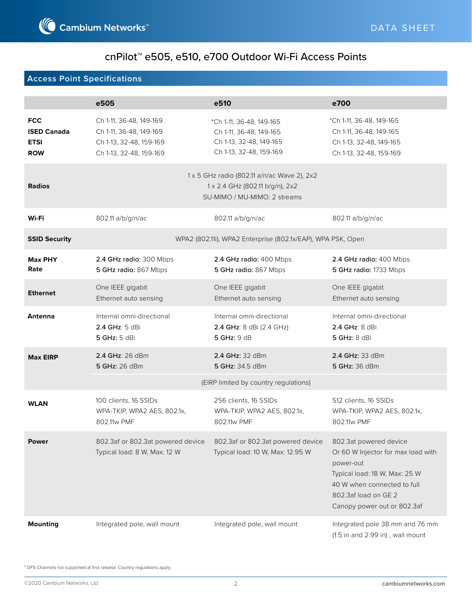### **Access Point Specifications**

|                                                               | e505                                                                                                     | e510                                                                                                           | e700                                                                                                                                                                                             |
|---------------------------------------------------------------|----------------------------------------------------------------------------------------------------------|----------------------------------------------------------------------------------------------------------------|--------------------------------------------------------------------------------------------------------------------------------------------------------------------------------------------------|
| <b>FCC</b><br><b>ISED Canada</b><br><b>ETSI</b><br><b>ROW</b> | Ch 1-11, 36-48, 149-169<br>Ch 1-11, 36-48, 149-169<br>Ch 1-13, 32-48, 159-169<br>Ch 1-13, 32-48, 159-169 | *Ch 1-11, 36-48, 149-165<br>Ch 1-11, 36-48, 149-165<br>Ch 1-13, 32-48, 149-165<br>Ch 1-13, 32-48, 159-169      | *Ch 1-11, 36-48, 149-165<br>Ch 1-11, 36-48, 149-165<br>Ch 1-13, 32-48, 149-165<br>Ch 1-13, 32-48, 159-169                                                                                        |
| <b>Radios</b>                                                 |                                                                                                          | 1 x 5 GHz radio (802.11 a/n/ac Wave 2), 2x2<br>1 x 2.4 GHz (802.11 b/g/n), 2x2<br>SU-MIMO / MU-MIMO: 2 streams |                                                                                                                                                                                                  |
| Wi-Fi                                                         | 802.11 a/b/g/n/ac                                                                                        | 802.11 a/b/g/n/ac                                                                                              | 802.11 a/b/g/n/ac                                                                                                                                                                                |
| <b>SSID Security</b>                                          |                                                                                                          | WPA2 (802.11i), WPA2 Enterprise (802.1x/EAP), WPA PSK, Open                                                    |                                                                                                                                                                                                  |
| <b>Max PHY</b><br>Rate                                        | 2.4 GHz radio: 300 Mbps<br>5 GHz radio: 867 Mbps                                                         | 2.4 GHz radio: 400 Mbps<br>5 GHz radio: 867 Mbps                                                               | 2.4 GHz radio: 400 Mbps<br>5 GHz radio: 1733 Mbps                                                                                                                                                |
| <b>Ethernet</b>                                               | One IEEE gigabit<br>Ethernet auto sensing                                                                | One IEEE gigabit<br>Ethernet auto sensing                                                                      | One IEEE gigabit<br>Ethernet auto sensing                                                                                                                                                        |
| Antenna                                                       | Internal omni-directional<br>$2.4$ GHz: 5 dBi<br>5 GHz: 5 dBi                                            | Internal omni-directional<br>2.4 GHz: 8 dBi (2.4 GHz)<br>5 $GHz: 9 dB$                                         | Internal omni-directional<br>2.4 GHz: 8 dBi<br><b>5 GHz: 8 dBi</b>                                                                                                                               |
| <b>Max EIRP</b>                                               | 2.4 GHz: 26 dBm<br>5 GHz: 26 dBm                                                                         | 2.4 GHz: 32 dBm<br>5 GHz: 34.5 dBm                                                                             | 2.4 GHz: 33 dBm<br>5 GHz: 36 dBm                                                                                                                                                                 |
|                                                               |                                                                                                          | (EIRP limited by country regulations)                                                                          |                                                                                                                                                                                                  |
| <b>WLAN</b>                                                   | 100 clients, 16 SSIDs<br>WPA-TKIP, WPA2 AES, 802.1x,<br>802.11w PMF                                      | 256 clients, 16 SSIDs<br>WPA-TKIP, WPA2 AES, 802.1x,<br>802.11w PMF                                            | 512 clients, 16 SSIDs<br>WPA-TKIP, WPA2 AES, 802.1x,<br>802.11w PMF                                                                                                                              |
| <b>Power</b>                                                  | 802.3af or 802.3at powered device<br>Typical load: 8 W, Max: 12 W                                        | 802.3af or 802.3at powered device<br>Typical load: 10 W, Max: 12.95 W                                          | 802.3at powered device<br>Or 60 W Injector for max load with<br>power-out<br>Typical load: 18 W, Max: 25 W<br>40 W when connected to full<br>802.3af load on GE 2<br>Canopy power out or 802.3af |
| <b>Mounting</b>                                               | Integrated pole, wall mount                                                                              | Integrated pole, wall mount                                                                                    | Integrated pole 38 mm and 76 mm<br>(1.5 in and 2.99 in), wall mount                                                                                                                              |

\* DFS Channels not supported at first release. Country regulations apply.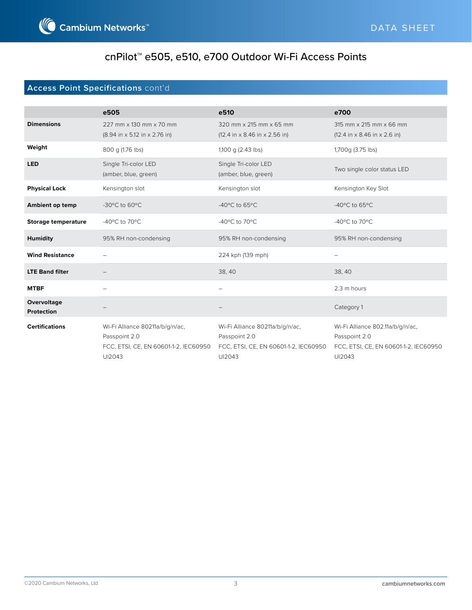

### **Access Point Specifications** cont'd

|                                  | e505                                                                                                | e510                                                                                                | e700                                                                                                 |
|----------------------------------|-----------------------------------------------------------------------------------------------------|-----------------------------------------------------------------------------------------------------|------------------------------------------------------------------------------------------------------|
| <b>Dimensions</b>                | 227 mm x 130 mm x 70 mm<br>$(8.94 \text{ in} \times 5.12 \text{ in} \times 2.76 \text{ in})$        | 320 mm x 215 mm x 65 mm<br>$(12.4 \text{ in} \times 8.46 \text{ in} \times 2.56 \text{ in})$        | 315 mm x 215 mm x 66 mm<br>$(12.4 \text{ in} \times 8.46 \text{ in} \times 2.6 \text{ in})$          |
| Weight                           | 800 g (1.76 lbs)                                                                                    | 1,100 g (2.43 lbs)                                                                                  | 1,700g (3.75 lbs)                                                                                    |
| <b>LED</b>                       | Single Tri-color LED<br>(amber, blue, green)                                                        | Single Tri-color LED<br>(amber, blue, green)                                                        | Two single color status LED                                                                          |
| <b>Physical Lock</b>             | Kensington slot                                                                                     | Kensington slot                                                                                     | Kensington Key Slot                                                                                  |
| Ambient op temp                  | -30°C to 60°C                                                                                       | -40 $\degree$ C to 65 $\degree$ C                                                                   | -40 $\degree$ C to 65 $\degree$ C                                                                    |
| <b>Storage temperature</b>       | -40 $\rm{^{\circ}C}$ to 70 $\rm{^{\circ}C}$                                                         | -40°C to 70°C                                                                                       | -40 $\rm{^{\circ}C}$ to 70 $\rm{^{\circ}C}$                                                          |
| <b>Humidity</b>                  | 95% RH non-condensing                                                                               | 95% RH non-condensing                                                                               | 95% RH non-condensing                                                                                |
| <b>Wind Resistance</b>           |                                                                                                     | 224 kph (139 mph)                                                                                   |                                                                                                      |
| <b>LTE Band filter</b>           |                                                                                                     | 38, 40                                                                                              | 38, 40                                                                                               |
| <b>MTBF</b>                      |                                                                                                     |                                                                                                     | 2.3 m hours                                                                                          |
| Overvoltage<br><b>Protection</b> |                                                                                                     |                                                                                                     | Category 1                                                                                           |
| <b>Certifications</b>            | Wi-Fi Alliance 80211a/b/g/n/ac,<br>Passpoint 2.0<br>FCC, ETSI, CE, EN 60601-1-2, IEC60950<br>UI2043 | Wi-Fi Alliance 80211a/b/g/n/ac,<br>Passpoint 2.0<br>FCC, ETSI, CE, EN 60601-1-2, IEC60950<br>UI2043 | Wi-Fi Alliance 802.11a/b/g/n/ac,<br>Passpoint 2.0<br>FCC, ETSI, CE, EN 60601-1-2, IEC60950<br>UI2043 |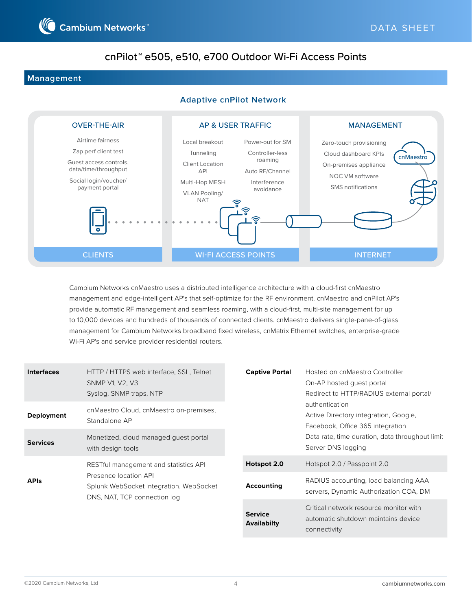

#### **Management**

#### **Adaptive cnPilot Network**



Cambium Networks cnMaestro uses a distributed intelligence architecture with a cloud-first cnMaestro management and edge-intelligent AP's that self-optimize for the RF environment. cnMaestro and cnPilot AP's provide automatic RF management and seamless roaming, with a cloud-first, multi-site management for up to 10,000 devices and hundreds of thousands of connected clients. cnMaestro delivers single-pane-of-glass management for Cambium Networks broadband fixed wireless, cnMatrix Ethernet switches, enterprise-grade Wi-Fi AP's and service provider residential routers.

| <b>Interfaces</b> | HTTP / HTTPS web interface, SSL, Telnet<br>SNMP V1, V2, V3<br>Syslog, SNMP traps, NTP            | <b>Captive Portal</b><br>On-AP hosted quest portal | Hosted on cnMaestro Controller<br>Redirect to HTTP/RADIUS external portal/                  |
|-------------------|--------------------------------------------------------------------------------------------------|----------------------------------------------------|---------------------------------------------------------------------------------------------|
| <b>Deployment</b> | cnMaestro Cloud, cnMaestro on-premises,<br>Standalone AP                                         |                                                    | authentication<br>Active Directory integration, Google,<br>Facebook, Office 365 integration |
| <b>Services</b>   | Monetized, cloud managed quest portal<br>with design tools                                       | Server DNS logging                                 | Data rate, time duration, data throughput limit                                             |
|                   | RESTful management and statistics API                                                            | Hotspot 2.0                                        | Hotspot 2.0 / Passpoint 2.0                                                                 |
| <b>APIS</b>       | Presence location API<br>Splunk WebSocket integration, WebSocket<br>DNS, NAT, TCP connection log | <b>Accounting</b>                                  | RADIUS accounting, load balancing AAA<br>servers, Dynamic Authorization COA, DM             |
|                   |                                                                                                  | <b>Service</b><br><b>Availabilty</b>               | Critical network resource monitor with<br>automatic shutdown maintains device               |

connectivity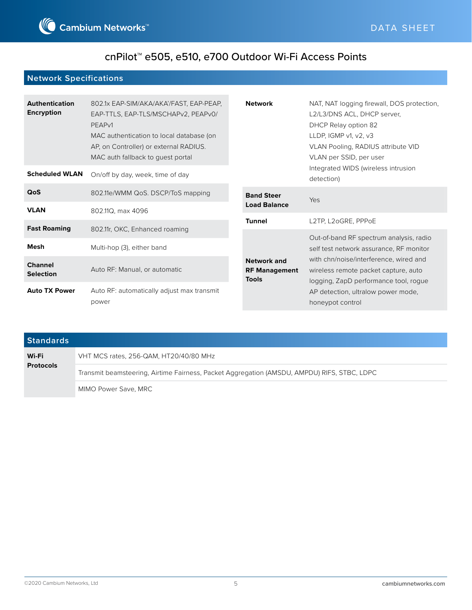

### **Network Specifications**

| <b>Authentication</b><br><b>Encryption</b> | 802.1x EAP-SIM/AKA/AKA'/FAST, EAP-PEAP,<br>EAP-TTLS, EAP-TLS/MSCHAPv2, PEAPv0/<br>PEAP <sub>v1</sub><br>MAC authentication to local database (on<br>AP, on Controller) or external RADIUS.<br>MAC auth fallback to guest portal | <b>Network</b>                                             | NAT, NAT logging firewall, DOS protection,<br>L2/L3/DNS ACL, DHCP server,<br>DHCP Relay option 82<br>LLDP, IGMP $v1$ , $v2$ , $v3$<br>VLAN Pooling, RADIUS attribute VID<br>VLAN per SSID, per user |
|--------------------------------------------|---------------------------------------------------------------------------------------------------------------------------------------------------------------------------------------------------------------------------------|------------------------------------------------------------|-----------------------------------------------------------------------------------------------------------------------------------------------------------------------------------------------------|
| <b>Scheduled WLAN</b>                      | On/off by day, week, time of day                                                                                                                                                                                                |                                                            | Integrated WIDS (wireless intrusion<br>detection)                                                                                                                                                   |
| QoS                                        | 802.11e/WMM QoS. DSCP/ToS mapping                                                                                                                                                                                               | <b>Band Steer</b>                                          | Yes                                                                                                                                                                                                 |
| <b>VLAN</b>                                | 802.11Q, max 4096                                                                                                                                                                                                               | <b>Load Balance</b>                                        |                                                                                                                                                                                                     |
| <b>Fast Roaming</b>                        | 802.11r, OKC, Enhanced roaming                                                                                                                                                                                                  | <b>Tunnel</b>                                              | L2TP, L2oGRE, PPPoE                                                                                                                                                                                 |
| <b>Mesh</b>                                | Multi-hop (3), either band                                                                                                                                                                                                      |                                                            | Out-of-band RF spectrum analysis, radio<br>self test network assurance, RF monitor                                                                                                                  |
| <b>Channel</b><br><b>Selection</b>         | Auto RF: Manual, or automatic                                                                                                                                                                                                   | <b>Network and</b><br><b>RF Management</b><br><b>Tools</b> | with chn/noise/interference, wired and<br>wireless remote packet capture, auto<br>logging, ZapD performance tool, roque                                                                             |
| <b>Auto TX Power</b>                       | Auto RF: automatically adjust max transmit<br>power                                                                                                                                                                             |                                                            | AP detection, ultralow power mode,<br>honeypot control                                                                                                                                              |

| <b>Standards</b>          |                                                                                             |
|---------------------------|---------------------------------------------------------------------------------------------|
| Wi-Fi<br><b>Protocols</b> | VHT MCS rates, 256-QAM, HT20/40/80 MHz                                                      |
|                           | Transmit beamsteering, Airtime Fairness, Packet Aggregation (AMSDU, AMPDU) RIFS, STBC, LDPC |
|                           | MIMO Power Save, MRC                                                                        |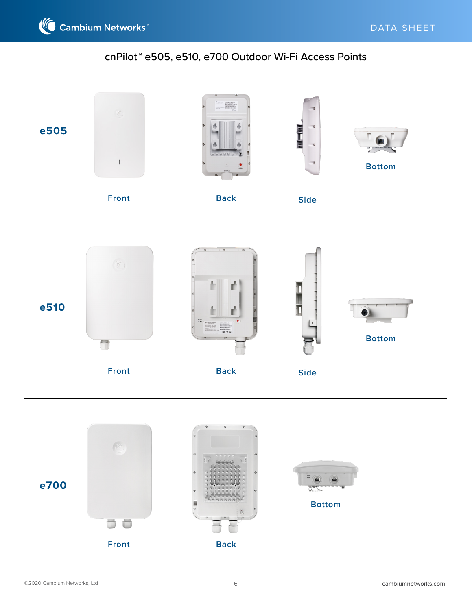



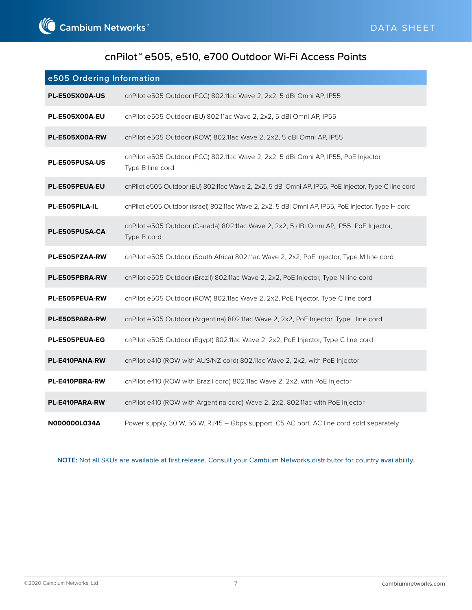| e505 Ordering Information |                                                                                                         |
|---------------------------|---------------------------------------------------------------------------------------------------------|
| <b>PL-E505X00A-US</b>     | cnPilot e505 Outdoor (FCC) 802.11ac Wave 2, 2x2, 5 dBi Omni AP, IP55                                    |
| <b>PL-E505X00A-EU</b>     | cnPilot e505 Outdoor (EU) 802.11ac Wave 2, 2x2, 5 dBi Omni AP, IP55                                     |
| <b>PL-E505X00A-RW</b>     | cnPilot e505 Outdoor (ROW) 802.11ac Wave 2, 2x2, 5 dBi Omni AP, IP55                                    |
| PL-E505PUSA-US            | cnPilot e505 Outdoor (FCC) 802.11ac Wave 2, 2x2, 5 dBi Omni AP, IP55, PoE Injector,<br>Type B line cord |
| PL-E505PEUA-EU            | cnPilot e505 Outdoor (EU) 802.11ac Wave 2, 2x2, 5 dBi Omni AP, IP55, PoE Injector, Type C line cord     |
| PL-E505PILA-IL            | cnPilot e505 Outdoor (Israel) 802.11ac Wave 2, 2x2, 5 dBi Omni AP, IP55, PoE Injector, Type H cord      |
| <b>PL-E505PUSA-CA</b>     | cnPilot e505 Outdoor (Canada) 802.11ac Wave 2, 2x2, 5 dBi Omni AP, IP55. PoE Injector,<br>Type B cord   |
| PL-E505PZAA-RW            | cnPilot e505 Outdoor (South Africa) 802.11ac Wave 2, 2x2, PoE Injector, Type M line cord                |
| PL-E505PBRA-RW            | cnPilot e505 Outdoor (Brazil) 802.11ac Wave 2, 2x2, PoE Injector, Type N line cord                      |
| PL-E505PEUA-RW            | cnPilot e505 Outdoor (ROW) 802.11ac Wave 2, 2x2, PoE Injector, Type C line cord                         |
| PL-E505PARA-RW            | cnPilot e505 Outdoor (Argentina) 802.11ac Wave 2, 2x2, PoE Injector, Type I line cord                   |
| PL-E505PEUA-EG            | cnPilot e505 Outdoor (Egypt) 802.11ac Wave 2, 2x2, PoE Injector, Type C line cord                       |
| PL-E410PANA-RW            | cnPilot e410 (ROW with AUS/NZ cord) 802.11ac Wave 2, 2x2, with PoE Injector                             |
| PL-E410PBRA-RW            | cnPilot e410 (ROW with Brazil cord) 802.11ac Wave 2, 2x2, with PoE Injector                             |
| PL-E410PARA-RW            | cnPilot e410 (ROW with Argentina cord) Wave 2, 2x2, 802.11ac with PoE Injector                          |
| N000000L034A              | Power supply, 30 W, 56 W, RJ45 - Gbps support. C5 AC port. AC line cord sold separately                 |

**NOTE:** Not all SKUs are available at first release. Consult your Cambium Networks distributor for country availability.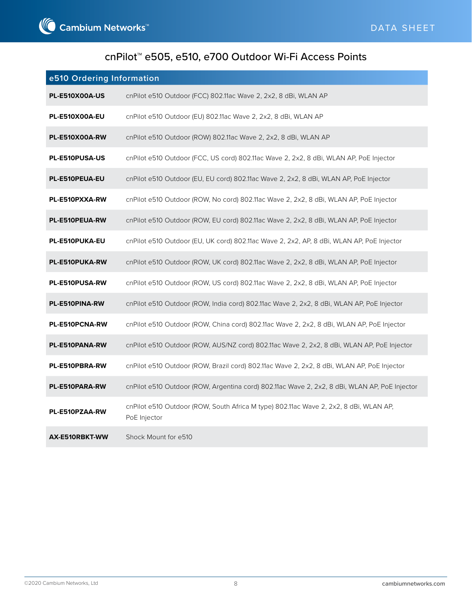| e510 Ordering Information |                                                                                                       |
|---------------------------|-------------------------------------------------------------------------------------------------------|
| <b>PL-E510X00A-US</b>     | cnPilot e510 Outdoor (FCC) 802.11ac Wave 2, 2x2, 8 dBi, WLAN AP                                       |
| <b>PL-E510X00A-EU</b>     | cnPilot e510 Outdoor (EU) 802.11ac Wave 2, 2x2, 8 dBi, WLAN AP                                        |
| <b>PL-E510X00A-RW</b>     | cnPilot e510 Outdoor (ROW) 802.11ac Wave 2, 2x2, 8 dBi, WLAN AP                                       |
| PL-E510PUSA-US            | cnPilot e510 Outdoor (FCC, US cord) 802.11ac Wave 2, 2x2, 8 dBi, WLAN AP, PoE Injector                |
| PL-E510PEUA-EU            | cnPilot e510 Outdoor (EU, EU cord) 802.11ac Wave 2, 2x2, 8 dBi, WLAN AP, PoE Injector                 |
| PL-E510PXXA-RW            | cnPilot e510 Outdoor (ROW, No cord) 802.11ac Wave 2, 2x2, 8 dBi, WLAN AP, PoE Injector                |
| PL-E510PEUA-RW            | cnPilot e510 Outdoor (ROW, EU cord) 802.11ac Wave 2, 2x2, 8 dBi, WLAN AP, PoE Injector                |
| PL-E510PUKA-EU            | cnPilot e510 Outdoor (EU, UK cord) 802.11ac Wave 2, 2x2, AP, 8 dBi, WLAN AP, PoE Injector             |
| PL-E510PUKA-RW            | cnPilot e510 Outdoor (ROW, UK cord) 802.11ac Wave 2, 2x2, 8 dBi, WLAN AP, PoE Injector                |
| PL-E510PUSA-RW            | cnPilot e510 Outdoor (ROW, US cord) 802.11ac Wave 2, 2x2, 8 dBi, WLAN AP, PoE Injector                |
| PL-E510PINA-RW            | cnPilot e510 Outdoor (ROW, India cord) 802.11ac Wave 2, 2x2, 8 dBi, WLAN AP, PoE Injector             |
| PL-E510PCNA-RW            | cnPilot e510 Outdoor (ROW, China cord) 802.11ac Wave 2, 2x2, 8 dBi, WLAN AP, PoE Injector             |
| PL-E510PANA-RW            | cnPilot e510 Outdoor (ROW, AUS/NZ cord) 802.11ac Wave 2, 2x2, 8 dBi, WLAN AP, PoE Injector            |
| PL-E510PBRA-RW            | cnPilot e510 Outdoor (ROW, Brazil cord) 802.11ac Wave 2, 2x2, 8 dBi, WLAN AP, PoE Injector            |
| PL-E510PARA-RW            | cnPilot e510 Outdoor (ROW, Argentina cord) 802.11ac Wave 2, 2x2, 8 dBi, WLAN AP, PoE Injector         |
| PL-E510PZAA-RW            | cnPilot e510 Outdoor (ROW, South Africa M type) 802.11ac Wave 2, 2x2, 8 dBi, WLAN AP,<br>PoE Injector |
| AX-E510RBKT-WW            | Shock Mount for e510                                                                                  |